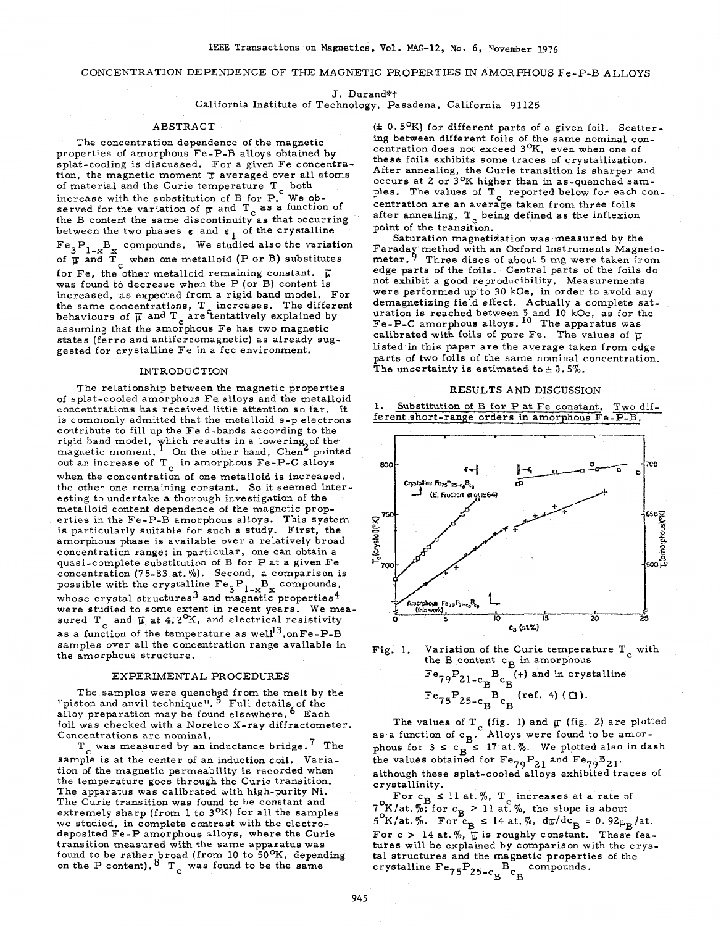# CONCENTRATION DEPENDENCE OF THE MAGNETIC PROPERTIES IN AMORPHOUS Fe-P-B ALLOYS

J. Durand\*t

California Institute of Technology, Pasadena, California 91125

### ABSTRACT

The concentration dependence of the magnetic properties of amorphous Fe-P-B alloys obtained by splat-cooling is discussed. For a given Fe concentration, the magnetic moment **p** averaged over all atoms of material and the Curie temperature  $\texttt{T}_{\mathbf{c}}$ increase with the substitution of B for P. We observed for the variation of  $\pi$  and  $T_c$  as a function of the B content the same discontinuity as that occurring between the two phases  $\varepsilon$  and  $\varepsilon$ <sub>1</sub> of the crystalline  $Fe_{3}P_{1}$ <sub>w</sub>B<sub>y</sub> compounds. We studied also the variation of  $\overline{\mathfrak{p}}$  and  $\overline{\mathfrak{T}}_c$  when one metalloid (P or B) substitutes for Fe, the other metalloid remaining constant.  $\overline{\mu}$ was found to decrease when the P (or B) content is  $\emph{increased}$ , as expected from a rigid band model. For the same concentrations,  $T_c$  increases. The behaviours of  $\overline{\mu}$  and T<sub>c</sub> are tentatively explained by assuming that the amorphous Fe has two magnetic states (ferro and antiferromagnetic) as already suggested for crystalline Fe in a fcc environment.

## INTRODUCTION

The relationship between the magnetic properties of splat-cooled amorphous Fe alloys and the metalloid concentrations has received little attention so far. It is commonly admitted that the metalloid s-p electrons contribute to fill up the Fe d-bands according to the rigid band model, which results in a lowering, of th magnetic moment. <sup>1</sup> On the other hand, Chen<sup>6</sup> p out an increase of T<sub>c</sub> in amorphous Fe-P-C allows when the concentration of one metalloid is increased, the other one remaining constant. So it seemed interesting to undertake a thorough investigation of the metalloid content dependence of the magnetic properties in the Fe-P-B amorphous alloys. This system is particularly suitable for such a study. First, the amorphous phase is available over a relatively broad concentration range; in particular, one can obtain a quasi-complete substitution of B for P at a given Fe concentration (75-83.at. **70).** Second, a comparison is possible with the crystalline  $Fe_3P_1 - x + x$  compound whose crystal structures<sup>3</sup> and magnetic properties<sup>4</sup> were studied to some extent in recent years. We measured T  $_{c}$  and  $\overline{\upmu}$  at 4.2 $^{\mathrm{O}}\mathrm{K}$ , and electrical resistivity as a function of the temperature as  $well<sup>13</sup>, on Fe-P-B$ samples over all the concentration range available in the amorphous structure.

### EXPERIMENTAL PROCEDURES

The samples were quenched from the melt by the "piston and anvil technique". <sup>5</sup> Full details of the alloy preparation may be found elsewhere. <sup>0</sup> Each foil was checked with a Norelco X-ray diffractometer. Concentrations are nominal.

sample is at the center of an induction coil. Variation of the magnetic permeability is recorded when the temperature goes through the Curie transition. The apparatus was calibrated with high-purity Ni. The Curie transition was found to be constant and extremely sharp (from 1 to 3<sup>O</sup>K) for all the samples we studied, in complete contrast with the electrodeposited Fe-P amorphous alloys, where the Curie transition measured with the same apparatus was found to be rather broad (from 10 to  $\overline{50}^{\,0}$ K, depending on the P content).  $\overline{8}^{\,0}$  T was found to be the same  $T_c$  was measured by an inductance bridge.<sup>7</sup> The

*(k* 0. 5OK) for different parts of a given foil. Scattering between different foils of the same nominal concentration does not exceed 3<sup>o</sup>K, even when one of these foils exhibits some traces of crystallization. After annealing, the Curie transition is sharper and occurs at 2 or 3OK higher than in as-quenched samples. The values of  $T_c$  reported below for each concentration are an average taken from three foils after annealing,  $T_c$  being defined as the inflexio point of the transition.

Saturation magnetization was measured by the  $\mathtt{Faraday}$  method with an  $\mathtt{Oxford}\ \mathtt{Instruments}\ \mathtt{Magne}$ meter. **5** Three discs of about 5 mg were taken from edge parts of the foils. Central parts of the foils do not exhibit a good reproducibility. Measurements were performed up'to 30 kOe, in order to avoid any demagnetizing field effect. Actually a complete saturation is reached between 5 and 10 kOe, as for the Fe-P-C amorphous alloys. <sup>10</sup> The apparatus was calibrated with foils of pure Fe. The values of  $\overline{u}$ listed in this paper are the average taken from edge parts of two foils of the same nominal concentration. The uncertainty is estimated to  $\pm$  0.5%.

#### RESULTS AND DISCUSSION

**1.** Substitution of B for P at Fe constant. Two different short-range orders in amorphous Fe-P-B.





The values of T<sub>c</sub> (fig. 1) and  $\pi$  (fig. 2) are plotted as a function of c<sub>B</sub>. Alloys were found to be amorphous for  $3 \leq c_R \leq 17$  at.%. We plotted also in dash the values obtained for  $Fe_{79}P_{21}$  and  $Fe_{79}B_{21}$ although these splat-cooled alloys exhibited traces of crystallinity.

For  $c_B \leq 11$  at. %,  $T_c$  increases at a rate of  $7\frac{\text{K}}{\text{at}}$ ,  $\frac{\pi}{6}$ ; for  $c_B > 11$  at  $\frac{\pi}{6}$ , the slope is about  $5\textdegree K/\text{at.}\%$ . For  $\text{c}_{\text{B}} \le 14$  at. %,  $\text{d}\text{tr}/\text{dc}_{\text{B}} = 0.92\mu_{\text{B}}/\text{at.}$ For  $c > 14$  at.  $\sqrt[n]{v}$  is roughly constant. These fea-<br>tures will be explained by comparison with the crystal structures and the magnetic properties of the crystalline  $\mathrm{Fe}_{7.5}\mathrm{P}_{2.5\text{-}c}\text{-}^\mathrm{B}$ c $\mathrm{O}_{9.5\text{-}c}\text{-}^\mathrm{B}$ c $\mathrm{O}_{1.5\text{-}0.5\text{-}c}$  $B^{\prime}B$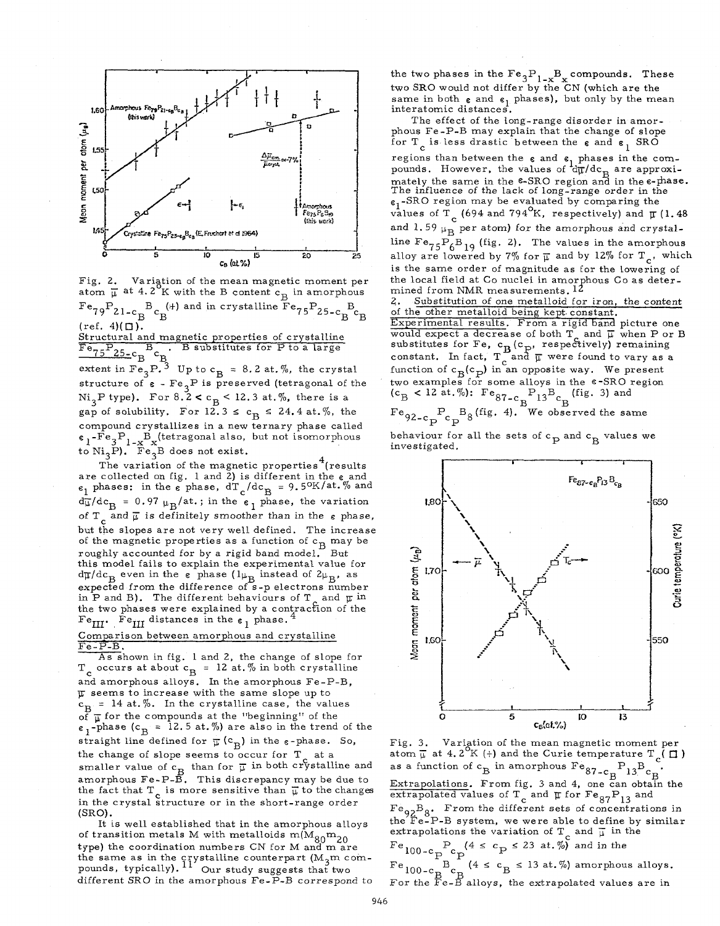

Fig. 2. Variation of the mean magnetic moment per  $F_{\rm ^{8}79}P_{\rm 21-c\,B}^{B}E_{\rm B}^{(+)}$  and in crystalline  $Fe_{75}P_{\rm 25-c\,B}^{B}E_{\rm B}$  $(ref. 4)(\Box).$ Structural and magnetic properties of crystalline<br> $\overline{F}e_{75}P_{25-c}B_c$ . B substitutes for P to a large extent in  $Fe_{3}P^{3}$  Up to  $c_{B} = 8.2$  at. %, the crystal extent in  $Fe_{3}P^{3}$ structure of  $\epsilon$  -  $\text{Fe}_3\text{P}$  is preserved (tetragonal of the  $Ni<sub>3</sub>P$  type). For  $8.2 < c_B < 12.3$  at.%, there is a

gap of solubility. For  $12.3 \le c_B \le 24.4$  at.%, the compound crystallizes in a new ternary phase called  $e_1$ -Fe<sub>2</sub>P<sub>1</sub>  $B_v$ (tetragonal also, but not isomorphous)  $\epsilon_1$ -re<sub>3</sub> $F_{1-x}F_x$  (tetragonal also,<br>to Ni<sub>3</sub>P). Fe<sub>3</sub>B does not exist.

The variation of the magnetic properties<sup>7</sup> (results are collected on fig. 1 and 2) is different in the *e* and  $\epsilon_1$  phases: in the  $\epsilon$  phase,  $dT_c/dc_B = 9.5^K/at. %$  and  $d\frac{1}{\mu}$ /dc<sub>B</sub> = 0.97  $\mu_B$ /at.; in the  $e_1$  phase, the variation of  $T_c$  and  $\overline{\mu}$  is definitely smoother than in the  $\varepsilon$  phase, but the slopes are not very well defined. The increase of the magnetic properties as a function of  $c_B$  may be roughly accounted for by a rigid band model. But this model fails to explain the experimental value for  $d\pi/dc_B$  even in the  $\varepsilon$  phase  $(l\mu_B)$  instead of  $2\mu_B$ , as expected from the difference of s-p electrons number in P and B). The different behaviours of T and **p** in the two phases were explained by a contraction of the Fe<sub> $_{\text{III}}$ </sub>. Fe<sub>III</sub> distances in the  $_{6}$  phase.<sup>4</sup>  $3^{\text{D}}$  does not exist.<br> $4^{\text{A}}$ 

Comparison between amorphous and crystalline Fe-P-B.

 $T_c$  occurs at about  $c_B$  = 12 at. % in both crystalline and amorphous alloys. In the amorphous Fe-P-B,  $\overline{\mu}$  seems to increase with the same slope up to  $c_B = 14$  at.%. In the crystalline case, the values of  $\overline{\mu}$  for the compounds at the "beginning" of the  $e_1$ -phase ( $c_B = 12.5$  at. %) are also in the trend of the straight line defined for  $\overline{\mu}$  (c<sub>B</sub>) in the  $\varepsilon$ -phase. So, the change of slope seems to occur for  $T_a$  at a smaller value of  $c_R$  than for  $\overline{\mu}$  in both crystalline and smaller value of  $c_B$  than for  $\mu$  in both crystalline and an amorphous Fe-P-B. This discrepancy may be due to the fact that  $T_c$  is more sensitive than  $\overline{\mu}$  to the changes in the crystal structure or in the short-range order **(SRO). As** shown in Eig. 1 and 2, the change of slope for

of transition metals M with metalloids  $m(M_{80}m_{20})$ type) the coordination numbers CN for M and mare the same as in the crystalline counterpart  $(M_2m$  comthe same as in the crystalline counterpart (M<sub>3</sub>th) pounds, typically). <sup>11</sup> Our study suggests that different SRO in the amorphous Fe-P-B correspond to It is well established that in the amorphous alloys

the two phases in the  $Fe_{3}P_{1-x}B_{x}$  compounds. These two **SRO** would not differ by the CN (which are the same in both  $\varepsilon$  and  $\varepsilon_1$  phases), but only by the mean interatomic distances.

The effect of the long-range disorder in amorphous Fe-P-B may explain that the change of slope for T<sub>c</sub> is less drastic between the  $_6$  and  $_6$ <sub>1</sub> SRO

regions than between the *e* and **G** phases in the comregions than between the  $\varepsilon$  and  $\varepsilon_1$  phases in the com-<br>pounds. However, the values of  $d\bar{\mu}/dc_B$  are approximately the same in the <sup>e</sup>-SRO region and in the e-phase.<br>The influence of the lack of long-range order in the  $\varepsilon_1$ -SRO region may be evaluated by comparing the values of  $\overline{T}_{\rm c}$  (694 and 794<sup>O</sup>K, respectively) and  $\overline{\mu}$  (1.48 and 1.59  $\mu_{\rm B}$  per atom) for the amorphous and crystalline  $Fe_{75}P_6B_{19}$  (fig. 2). The values in the amorphous  $12\%$ . alloy are lowered by 7% for  $\overline{\mu}$  and by 12% for T<sub>c</sub>, which is the same order of magnitude as for the lowering of the local field at Co nuclei in amorphous Co as determined from NMR measurements.  $12$ 

**2.** Substitution of one metalloid for iron, the content of the other metalloid being kept. constant. Experimental results. From a rigid band picture one would expect a decrease of both T and  $\overline{\mu}$  when P or B substitutes for Fe, c<sub>R</sub>(c<sub>p</sub>, respectively) remaining constant. In fact,  $T_c$  and  $\overline{\mu}$  were found to vary as a function of  $c_B(c_p)$  in an opposite way. We present two examples for some alloys in the  $e$ -SRO region  $(c_B < 12$  at. %):  $Fe_{87-c}$   $P_{13}B_c$  (fig. 3) and

 $F_{\rm eq 2-c}$   $F_c$   $B_8$ (fig. 4). We observed the same P

behaviour for all the sets of  $c_{\text{p}}$  and  $c_{\text{B}}$  values we investigated.



Fig. 3. Variation of the mean magnetic moment per atom  $\overline{\mu}$  at 4.2<sup>o</sup>K (+) and the Curie temperature  $T_c$  ( $\overline{\mu}$ ) as a function of  $c_B$  in amorphous  $Fe_{87-c_B}P_{13}Be_B$ . Extrapolations. From fig. 3 and 4, one can obtain th extrapolated values of  $T_a$  and  $\pi$  for  $Fe_{97}P_{12}$  and  $Fe_{92}B_8$ . From the different sets of concentrations in the Fe-P-B system, we were able to define by similar extrapolations the variation of T<sub>c</sub> and  $\overline{\mu}$  in the  $P_c$  (4  $\leq$   $c_p$   $\leq$  23 at. %) and in the P B  $(4 \leq c_B \leq 13$  at.%) amorphous alloys. For the Fe-B alloys, the extrapolated values are in